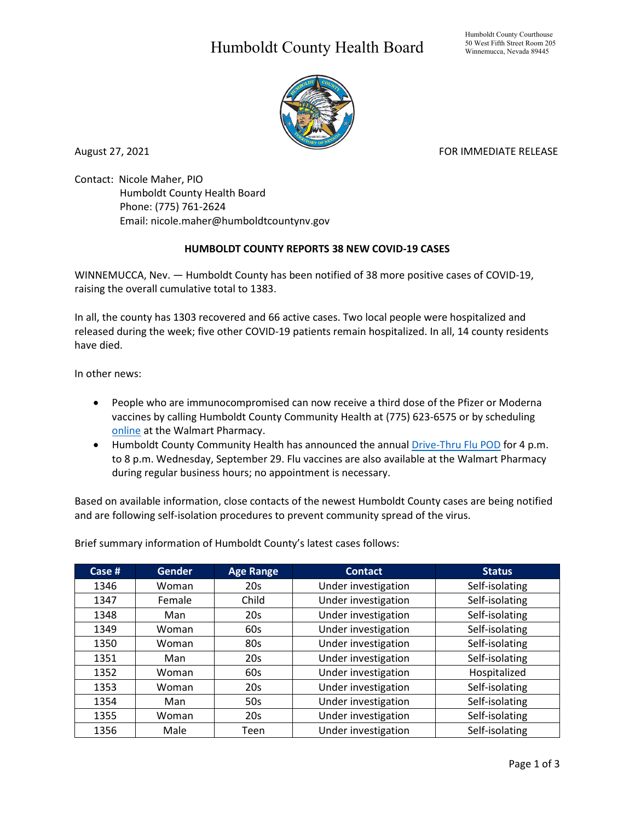## Humboldt County Health Board



August 27, 2021 **FOR IMMEDIATE RELEASE** 

Contact: Nicole Maher, PIO Humboldt County Health Board Phone: (775) 761-2624 Email: nicole.maher@humboldtcountynv.gov

## **HUMBOLDT COUNTY REPORTS 38 NEW COVID-19 CASES**

WINNEMUCCA, Nev. — Humboldt County has been notified of 38 more positive cases of COVID-19, raising the overall cumulative total to 1383.

In all, the county has 1303 recovered and 66 active cases. Two local people were hospitalized and released during the week; five other COVID-19 patients remain hospitalized. In all, 14 county residents have died.

In other news:

- People who are immunocompromised can now receive a third dose of the Pfizer or Moderna vaccines by calling Humboldt County Community Health at (775) 623-6575 or by scheduling [online](https://www.walmart.com/cp/flu-shots-immunizations/1228302) at the Walmart Pharmacy.
- Humboldt County Community Health has announced the annual [Drive-Thru Flu POD](https://www.humboldtcountynv.gov/DocumentCenter/View/5644/All-Humboldt-County-Residents-Encouraged-to-Participate-in-Drive-Thru-Flu-Shot-Clinic0821) for 4 p.m. to 8 p.m. Wednesday, September 29. Flu vaccines are also available at the Walmart Pharmacy during regular business hours; no appointment is necessary.

Based on available information, close contacts of the newest Humboldt County cases are being notified and are following self-isolation procedures to prevent community spread of the virus.

Brief summary information of Humboldt County's latest cases follows:

| Case $#$ | <b>Gender</b> | <b>Age Range</b> | <b>Contact</b>      | <b>Status</b>  |
|----------|---------------|------------------|---------------------|----------------|
| 1346     | Woman         | 20s              | Under investigation | Self-isolating |
| 1347     | Female        | Child            | Under investigation | Self-isolating |
| 1348     | Man           | 20s              | Under investigation | Self-isolating |
| 1349     | Woman         | 60s              | Under investigation | Self-isolating |
| 1350     | Woman         | 80s              | Under investigation | Self-isolating |
| 1351     | Man           | 20s              | Under investigation | Self-isolating |
| 1352     | Woman         | 60s              | Under investigation | Hospitalized   |
| 1353     | Woman         | 20s              | Under investigation | Self-isolating |
| 1354     | Man           | 50s              | Under investigation | Self-isolating |
| 1355     | Woman         | 20s              | Under investigation | Self-isolating |
| 1356     | Male          | Teen             | Under investigation | Self-isolating |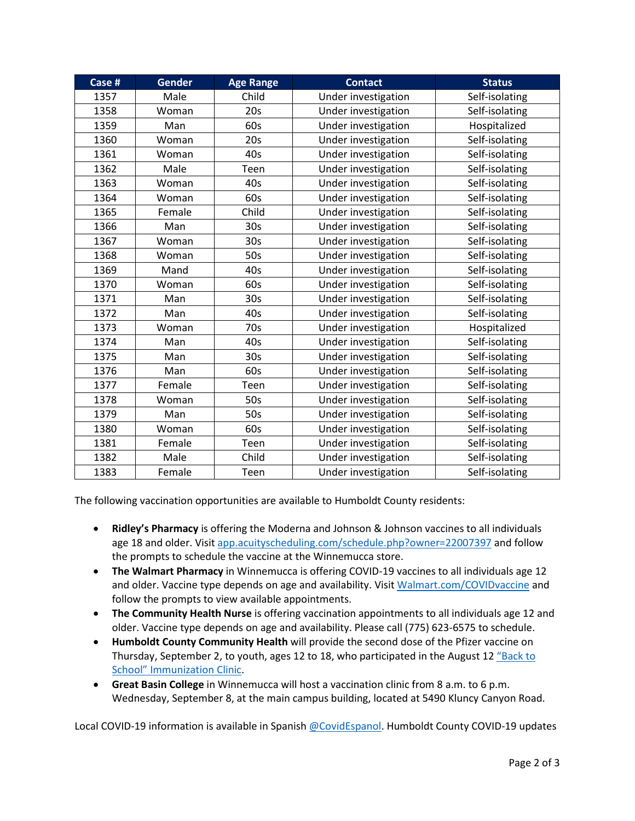| Case # | <b>Gender</b> | <b>Age Range</b> | <b>Contact</b>      | <b>Status</b>  |
|--------|---------------|------------------|---------------------|----------------|
| 1357   | Male          | Child            | Under investigation | Self-isolating |
| 1358   | Woman         | 20s              | Under investigation | Self-isolating |
| 1359   | Man           | 60s              | Under investigation | Hospitalized   |
| 1360   | Woman         | 20s              | Under investigation | Self-isolating |
| 1361   | Woman         | 40s              | Under investigation | Self-isolating |
| 1362   | Male          | Teen             | Under investigation | Self-isolating |
| 1363   | Woman         | 40s              | Under investigation | Self-isolating |
| 1364   | Woman         | 60s              | Under investigation | Self-isolating |
| 1365   | Female        | Child            | Under investigation | Self-isolating |
| 1366   | Man           | 30 <sub>s</sub>  | Under investigation | Self-isolating |
| 1367   | Woman         | 30 <sub>s</sub>  | Under investigation | Self-isolating |
| 1368   | Woman         | 50s              | Under investigation | Self-isolating |
| 1369   | Mand          | 40s              | Under investigation | Self-isolating |
| 1370   | Woman         | 60s              | Under investigation | Self-isolating |
| 1371   | Man           | 30 <sub>s</sub>  | Under investigation | Self-isolating |
| 1372   | Man           | 40s              | Under investigation | Self-isolating |
| 1373   | Woman         | 70s              | Under investigation | Hospitalized   |
| 1374   | Man           | 40s              | Under investigation | Self-isolating |
| 1375   | Man           | 30 <sub>s</sub>  | Under investigation | Self-isolating |
| 1376   | Man           | 60s              | Under investigation | Self-isolating |
| 1377   | Female        | Teen             | Under investigation | Self-isolating |
| 1378   | Woman         | 50s              | Under investigation | Self-isolating |
| 1379   | Man           | 50s              | Under investigation | Self-isolating |
| 1380   | Woman         | 60s              | Under investigation | Self-isolating |
| 1381   | Female        | Teen             | Under investigation | Self-isolating |
| 1382   | Male          | Child            | Under investigation | Self-isolating |
| 1383   | Female        | Teen             | Under investigation | Self-isolating |

The following vaccination opportunities are available to Humboldt County residents:

- **Ridley's Pharmacy** is offering the Moderna and Johnson & Johnson vaccines to all individuals age 18 and older. Visit [app.acuityscheduling.com/schedule.php?owner=22007397](https://app.acuityscheduling.com/schedule.php?owner=22007397) and follow the prompts to schedule the vaccine at the Winnemucca store.
- **The Walmart Pharmacy** in Winnemucca is offering COVID-19 vaccines to all individuals age 12 and older. Vaccine type depends on age and availability. Visit Walmart.com/COVIDvaccine and follow the prompts to view available appointments.
- **The Community Health Nurse** is offering vaccination appointments to all individuals age 12 and older. Vaccine type depends on age and availability. Please call (775) 623-6575 to schedule.
- **Humboldt County Community Health** will provide the second dose of the Pfizer vaccine on Thursday, September 2, to youth, ages 12 to 18, who participated in the August 12 ["Back to](https://www.humboldtcountynv.gov/DocumentCenter/View/5594/Back-to-School-Immunization-Clinic-Will-Include-COVID-Vaccine)  [School" Immunization Clinic.](https://www.humboldtcountynv.gov/DocumentCenter/View/5594/Back-to-School-Immunization-Clinic-Will-Include-COVID-Vaccine)
- **Great Basin College** in Winnemucca will host a vaccination clinic from 8 a.m. to 6 p.m. Wednesday, September 8, at the main campus building, located at 5490 Kluncy Canyon Road.

Local COVID-19 information is available in Spanish [@CovidEspanol.](https://www.facebook.com/CovidEspanol) Humboldt County COVID-19 updates